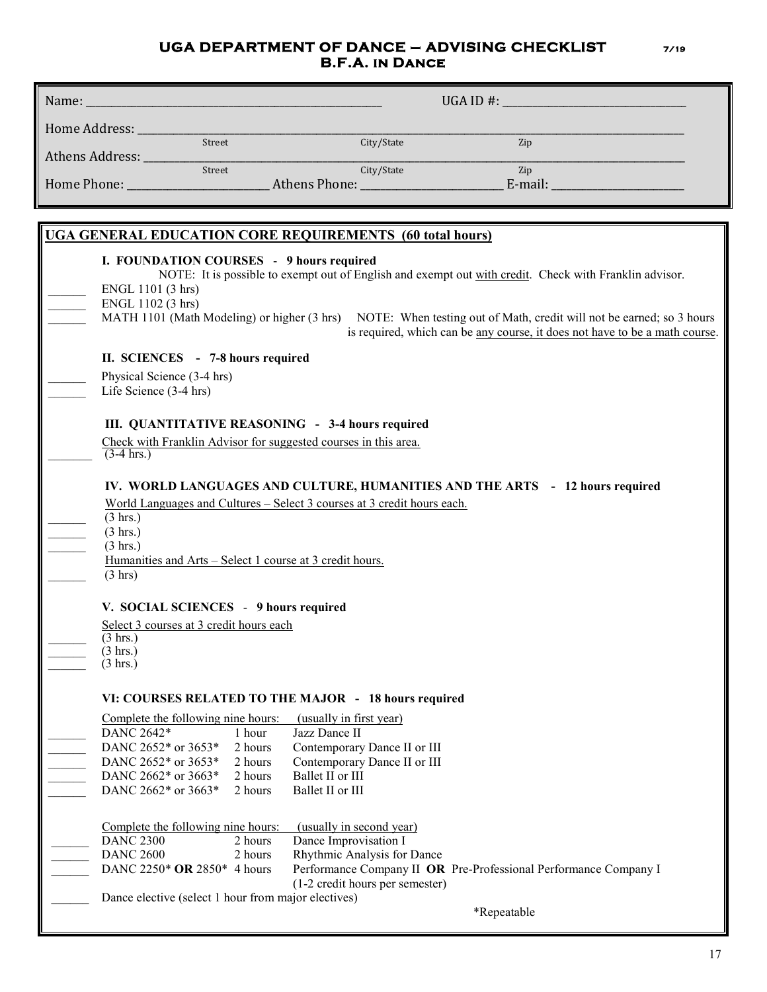## **UGA DEPARTMENT OF DANCE – ADVISING CHECKLIST 7/19 B.F.A. in Dance**

| Name: _                                                                                                                                                                                                                                                                                                    | UGA ID #: $\_$<br><u> 1989 - Johann Barn, mars ann an t-Amhain Aonaich an t-Aonaich an t-Aonaich ann an t-Aonaich ann an t-Aonaich</u> |                                                                                                                                                                                                  |
|------------------------------------------------------------------------------------------------------------------------------------------------------------------------------------------------------------------------------------------------------------------------------------------------------------|----------------------------------------------------------------------------------------------------------------------------------------|--------------------------------------------------------------------------------------------------------------------------------------------------------------------------------------------------|
| Home Address: ____                                                                                                                                                                                                                                                                                         |                                                                                                                                        |                                                                                                                                                                                                  |
| Street<br>Athens Address:                                                                                                                                                                                                                                                                                  | City/State                                                                                                                             | Zip                                                                                                                                                                                              |
| Street                                                                                                                                                                                                                                                                                                     | City/State                                                                                                                             | Zip                                                                                                                                                                                              |
|                                                                                                                                                                                                                                                                                                            |                                                                                                                                        | E-mail:                                                                                                                                                                                          |
|                                                                                                                                                                                                                                                                                                            |                                                                                                                                        |                                                                                                                                                                                                  |
| UGA GENERAL EDUCATION CORE REQUIREMENTS (60 total hours)                                                                                                                                                                                                                                                   |                                                                                                                                        |                                                                                                                                                                                                  |
| I. FOUNDATION COURSES - 9 hours required<br>ENGL 1101 (3 hrs)<br>ENGL 1102 (3 hrs)                                                                                                                                                                                                                         | NOTE: It is possible to exempt out of English and exempt out with credit. Check with Franklin advisor.                                 | MATH 1101 (Math Modeling) or higher (3 hrs) NOTE: When testing out of Math, credit will not be earned; so 3 hours<br>is required, which can be any course, it does not have to be a math course. |
| II. SCIENCES - 7-8 hours required                                                                                                                                                                                                                                                                          |                                                                                                                                        |                                                                                                                                                                                                  |
| Physical Science (3-4 hrs)<br>Life Science (3-4 hrs)                                                                                                                                                                                                                                                       |                                                                                                                                        |                                                                                                                                                                                                  |
|                                                                                                                                                                                                                                                                                                            |                                                                                                                                        |                                                                                                                                                                                                  |
| III. QUANTITATIVE REASONING - 3-4 hours required                                                                                                                                                                                                                                                           |                                                                                                                                        |                                                                                                                                                                                                  |
| Check with Franklin Advisor for suggested courses in this area.<br>$(3-4)$ hrs.)                                                                                                                                                                                                                           |                                                                                                                                        |                                                                                                                                                                                                  |
| IV. WORLD LANGUAGES AND CULTURE, HUMANITIES AND THE ARTS - 12 hours required<br>World Languages and Cultures - Select 3 courses at 3 credit hours each.<br>$(3 \text{ hrs.})$<br>$(3 \text{ hrs.})$<br>$(3 \text{ hrs.})$<br>Humanities and Arts - Select 1 course at 3 credit hours.<br>$(3 \text{ hrs})$ |                                                                                                                                        |                                                                                                                                                                                                  |
| V. SOCIAL SCIENCES - 9 hours required                                                                                                                                                                                                                                                                      |                                                                                                                                        |                                                                                                                                                                                                  |
| Select 3 courses at 3 credit hours each                                                                                                                                                                                                                                                                    |                                                                                                                                        |                                                                                                                                                                                                  |
| $(3 \text{ hrs.})$                                                                                                                                                                                                                                                                                         |                                                                                                                                        |                                                                                                                                                                                                  |
| $(3 \text{ hrs.})$<br>$(3 \text{ hrs.})$                                                                                                                                                                                                                                                                   |                                                                                                                                        |                                                                                                                                                                                                  |
|                                                                                                                                                                                                                                                                                                            |                                                                                                                                        |                                                                                                                                                                                                  |
| VI: COURSES RELATED TO THE MAJOR - 18 hours required                                                                                                                                                                                                                                                       |                                                                                                                                        |                                                                                                                                                                                                  |
| Complete the following nine hours:                                                                                                                                                                                                                                                                         | (usually in first year)                                                                                                                |                                                                                                                                                                                                  |
| DANC 2642*<br>1 hour                                                                                                                                                                                                                                                                                       | Jazz Dance II                                                                                                                          |                                                                                                                                                                                                  |
| DANC 2652* or 3653*<br>2 hours                                                                                                                                                                                                                                                                             | Contemporary Dance II or III                                                                                                           |                                                                                                                                                                                                  |
| DANC 2652* or 3653*<br>2 hours                                                                                                                                                                                                                                                                             | Contemporary Dance II or III                                                                                                           |                                                                                                                                                                                                  |
| DANC 2662* or 3663*<br>2 hours<br>DANC 2662* or 3663*                                                                                                                                                                                                                                                      | Ballet II or III                                                                                                                       |                                                                                                                                                                                                  |
| 2 hours                                                                                                                                                                                                                                                                                                    | Ballet II or III                                                                                                                       |                                                                                                                                                                                                  |
| Complete the following nine hours:<br>(usually in second year)                                                                                                                                                                                                                                             |                                                                                                                                        |                                                                                                                                                                                                  |
| <b>DANC 2300</b><br>2 hours                                                                                                                                                                                                                                                                                | Dance Improvisation I                                                                                                                  |                                                                                                                                                                                                  |
| <b>DANC 2600</b><br>2 hours                                                                                                                                                                                                                                                                                | Rhythmic Analysis for Dance                                                                                                            |                                                                                                                                                                                                  |
| DANC 2250* OR 2850* 4 hours                                                                                                                                                                                                                                                                                | Performance Company II OR Pre-Professional Performance Company I<br>(1-2 credit hours per semester)                                    |                                                                                                                                                                                                  |
|                                                                                                                                                                                                                                                                                                            | Dance elective (select 1 hour from major electives)<br>*Repeatable                                                                     |                                                                                                                                                                                                  |